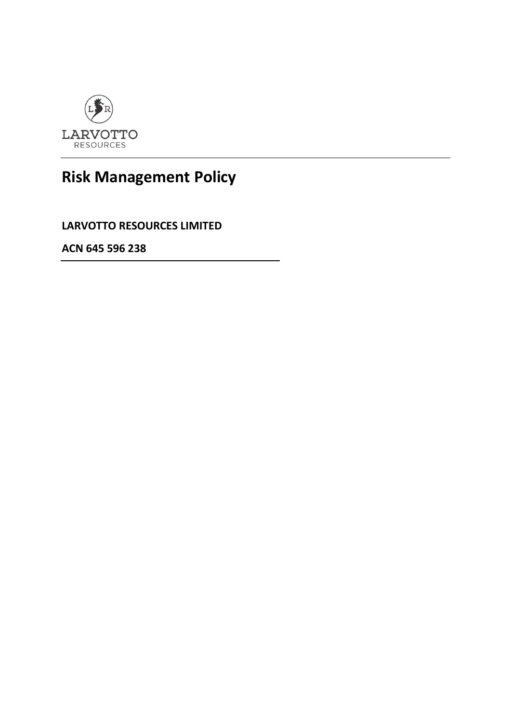

## **Risk Management Policy**

**LARVOTTO RESOURCES LIMITED**

**ACN 645 596 238**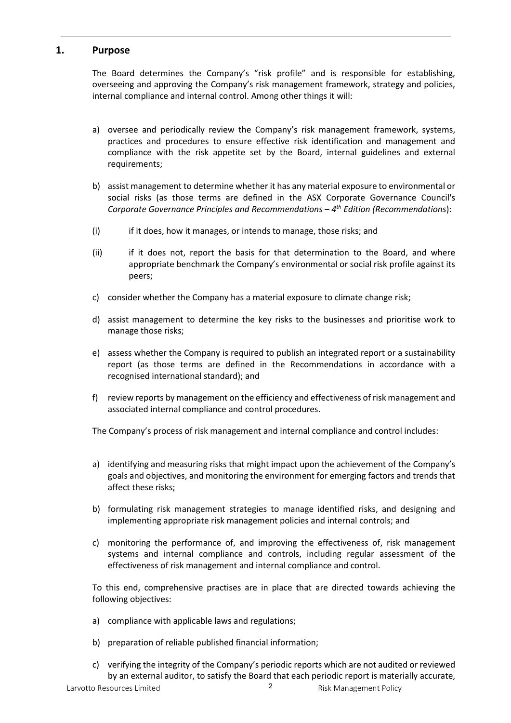## **1. Purpose**

The Board determines the Company's "risk profile" and is responsible for establishing, overseeing and approving the Company's risk management framework, strategy and policies, internal compliance and internal control. Among other things it will:

- a) oversee and periodically review the Company's risk management framework, systems, practices and procedures to ensure effective risk identification and management and compliance with the risk appetite set by the Board, internal guidelines and external requirements;
- b) assist management to determine whether it has any material exposure to environmental or social risks (as those terms are defined in the ASX Corporate Governance Council's *Corporate Governance Principles and Recommendations – 4th Edition (Recommendations*):
- (i) if it does, how it manages, or intends to manage, those risks; and
- (ii) if it does not, report the basis for that determination to the Board, and where appropriate benchmark the Company's environmental or social risk profile against its peers;
- c) consider whether the Company has a material exposure to climate change risk;
- d) assist management to determine the key risks to the businesses and prioritise work to manage those risks;
- e) assess whether the Company is required to publish an integrated report or a sustainability report (as those terms are defined in the Recommendations in accordance with a recognised international standard); and
- f) review reports by management on the efficiency and effectiveness of risk management and associated internal compliance and control procedures.

The Company's process of risk management and internal compliance and control includes:

- a) identifying and measuring risks that might impact upon the achievement of the Company's goals and objectives, and monitoring the environment for emerging factors and trends that affect these risks;
- b) formulating risk management strategies to manage identified risks, and designing and implementing appropriate risk management policies and internal controls; and
- c) monitoring the performance of, and improving the effectiveness of, risk management systems and internal compliance and controls, including regular assessment of the effectiveness of risk management and internal compliance and control.

To this end, comprehensive practises are in place that are directed towards achieving the following objectives:

- a) compliance with applicable laws and regulations;
- b) preparation of reliable published financial information;
- c) verifying the integrity of the Company's periodic reports which are not audited or reviewed by an external auditor, to satisfy the Board that each periodic report is materially accurate,